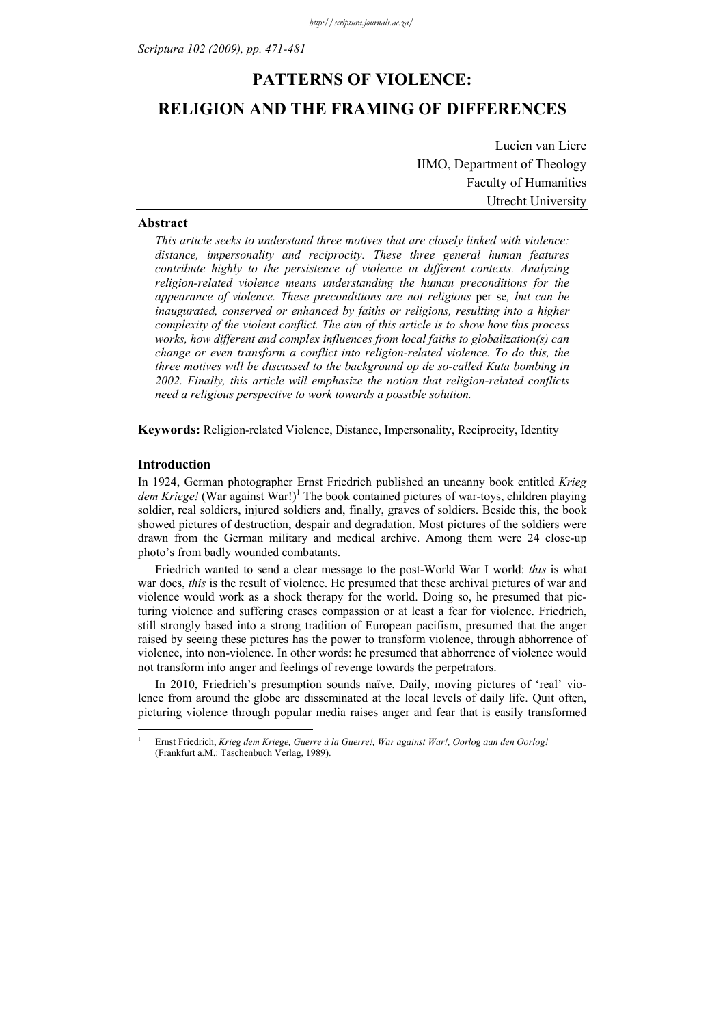# **PATTERNS OF VIOLENCE: RELIGION AND THE FRAMING OF DIFFERENCES**

Lucien van Liere IIMO, Department of Theology Faculty of Humanities Utrecht University

# **Abstract**

*This article seeks to understand three motives that are closely linked with violence: distance, impersonality and reciprocity. These three general human features contribute highly to the persistence of violence in different contexts. Analyzing religion-related violence means understanding the human preconditions for the appearance of violence. These preconditions are not religious* per se*, but can be inaugurated, conserved or enhanced by faiths or religions, resulting into a higher complexity of the violent conflict. The aim of this article is to show how this process works, how different and complex influences from local faiths to globalization(s) can change or even transform a conflict into religion-related violence. To do this, the three motives will be discussed to the background op de so-called Kuta bombing in 2002. Finally, this article will emphasize the notion that religion-related conflicts need a religious perspective to work towards a possible solution.* 

**Keywords:** Religion-related Violence, Distance, Impersonality, Reciprocity, Identity

#### **Introduction**

1 1

In 1924, German photographer Ernst Friedrich published an uncanny book entitled *Krieg*  dem Kriege! (War against War!)<sup>1</sup> The book contained pictures of war-toys, children playing soldier, real soldiers, injured soldiers and, finally, graves of soldiers. Beside this, the book showed pictures of destruction, despair and degradation. Most pictures of the soldiers were drawn from the German military and medical archive. Among them were 24 close-up photo's from badly wounded combatants.

Friedrich wanted to send a clear message to the post-World War I world: *this* is what war does, *this* is the result of violence. He presumed that these archival pictures of war and violence would work as a shock therapy for the world. Doing so, he presumed that picturing violence and suffering erases compassion or at least a fear for violence. Friedrich, still strongly based into a strong tradition of European pacifism, presumed that the anger raised by seeing these pictures has the power to transform violence, through abhorrence of violence, into non-violence. In other words: he presumed that abhorrence of violence would not transform into anger and feelings of revenge towards the perpetrators.

In 2010, Friedrich's presumption sounds naïve. Daily, moving pictures of 'real' violence from around the globe are disseminated at the local levels of daily life. Quit often, picturing violence through popular media raises anger and fear that is easily transformed

Ernst Friedrich, *Krieg dem Kriege, Guerre à la Guerre!, War against War!, Oorlog aan den Oorlog!*  (Frankfurt a.M.: Taschenbuch Verlag, 1989).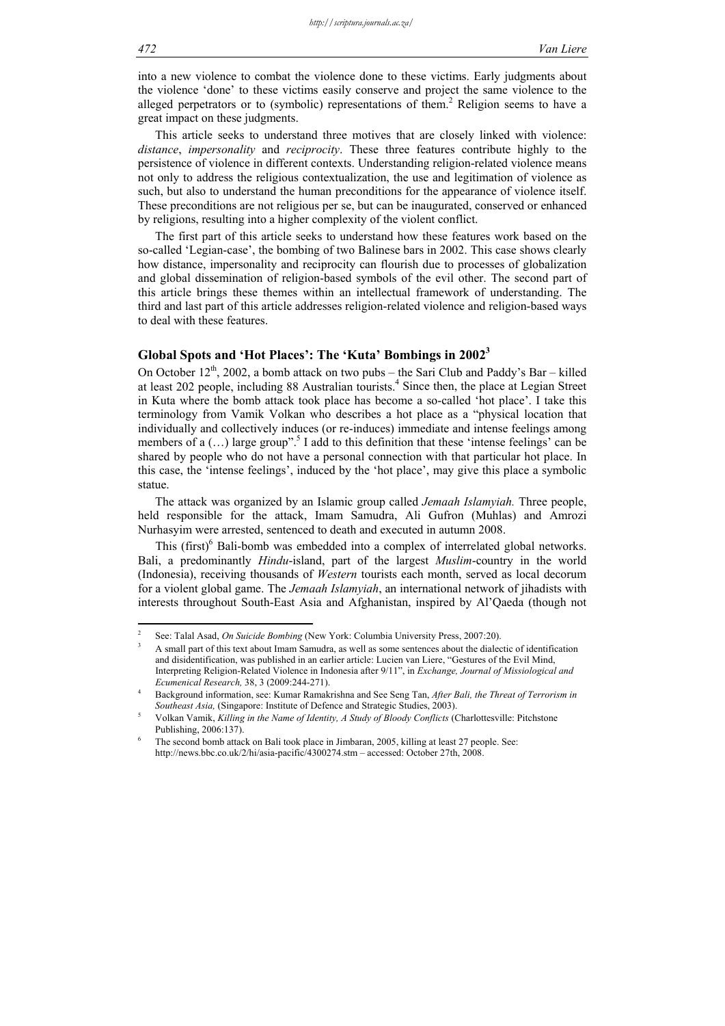into a new violence to combat the violence done to these victims. Early judgments about the violence 'done' to these victims easily conserve and project the same violence to the alleged perpetrators or to (symbolic) representations of them.<sup>2</sup> Religion seems to have a great impact on these judgments.

This article seeks to understand three motives that are closely linked with violence: *distance*, *impersonality* and *reciprocity*. These three features contribute highly to the persistence of violence in different contexts. Understanding religion-related violence means not only to address the religious contextualization, the use and legitimation of violence as such, but also to understand the human preconditions for the appearance of violence itself. These preconditions are not religious per se, but can be inaugurated, conserved or enhanced by religions, resulting into a higher complexity of the violent conflict.

The first part of this article seeks to understand how these features work based on the so-called 'Legian-case', the bombing of two Balinese bars in 2002. This case shows clearly how distance, impersonality and reciprocity can flourish due to processes of globalization and global dissemination of religion-based symbols of the evil other. The second part of this article brings these themes within an intellectual framework of understanding. The third and last part of this article addresses religion-related violence and religion-based ways to deal with these features.

# **Global Spots and 'Hot Places': The 'Kuta' Bombings in 20023**

On October  $12<sup>th</sup>$ , 2002, a bomb attack on two pubs – the Sari Club and Paddy's Bar – killed at least 202 people, including 88 Australian tourists.<sup>4</sup> Since then, the place at Legian Street in Kuta where the bomb attack took place has become a so-called 'hot place'. I take this terminology from Vamik Volkan who describes a hot place as a "physical location that individually and collectively induces (or re-induces) immediate and intense feelings among members of a (...) large group".<sup>5</sup> I add to this definition that these 'intense feelings' can be shared by people who do not have a personal connection with that particular hot place. In this case, the 'intense feelings', induced by the 'hot place', may give this place a symbolic statue.

The attack was organized by an Islamic group called *Jemaah Islamyiah.* Three people, held responsible for the attack, Imam Samudra, Ali Gufron (Muhlas) and Amrozi Nurhasyim were arrested, sentenced to death and executed in autumn 2008.

This (first)<sup>6</sup> Bali-bomb was embedded into a complex of interrelated global networks. Bali, a predominantly *Hindu*-island, part of the largest *Muslim*-country in the world (Indonesia), receiving thousands of *Western* tourists each month, served as local decorum for a violent global game. The *Jemaah Islamyiah*, an international network of jihadists with interests throughout South-East Asia and Afghanistan, inspired by Al'Qaeda (though not

1

<sup>2</sup> See: Talal Asad, *On Suicide Bombing* (New York: Columbia University Press, 2007:20).<sup>3</sup> A small part of this taut about Imam Samudra as well as some santaneos about the dialect

A small part of this text about Imam Samudra, as well as some sentences about the dialectic of identification and disidentification, was published in an earlier article: Lucien van Liere, "Gestures of the Evil Mind, Interpreting Religion-Related Violence in Indonesia after 9/11", in *Exchange, Journal of Missiological and Ecumenical Research,* 38, 3 (2009:244-271). 4

Background information, see: Kumar Ramakrishna and See Seng Tan, *After Bali, the Threat of Terrorism in Southeast Asia, (Singapore: Institute of Defence and Strategic Studies, 2003).* 

Volkan Vamik, *Killing in the Name of Identity, A Study of Bloody Conflicts* (Charlottesville: Pitchstone Publishing, 2006:137).

The second bomb attack on Bali took place in Jimbaran, 2005, killing at least 27 people. See: http://news.bbc.co.uk/2/hi/asia-pacific/4300274.stm – accessed: October 27th, 2008.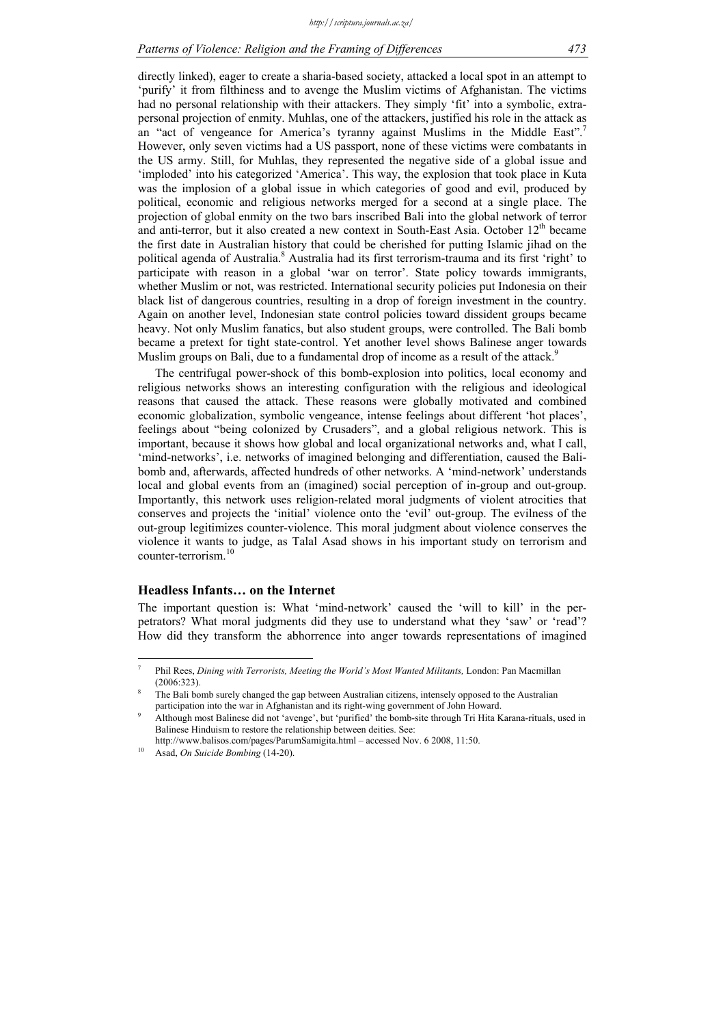# *Patterns of Violence: Religion and the Framing of Differences 473*

directly linked), eager to create a sharia-based society, attacked a local spot in an attempt to 'purify' it from filthiness and to avenge the Muslim victims of Afghanistan. The victims had no personal relationship with their attackers. They simply 'fit' into a symbolic, extrapersonal projection of enmity. Muhlas, one of the attackers, justified his role in the attack as an "act of vengeance for America's tyranny against Muslims in the Middle East".<sup>7</sup> However, only seven victims had a US passport, none of these victims were combatants in the US army. Still, for Muhlas, they represented the negative side of a global issue and 'imploded' into his categorized 'America'. This way, the explosion that took place in Kuta was the implosion of a global issue in which categories of good and evil, produced by political, economic and religious networks merged for a second at a single place. The projection of global enmity on the two bars inscribed Bali into the global network of terror and anti-terror, but it also created a new context in South-East Asia. October  $12<sup>th</sup>$  became the first date in Australian history that could be cherished for putting Islamic jihad on the political agenda of Australia.<sup>8</sup> Australia had its first terrorism-trauma and its first 'right' to participate with reason in a global 'war on terror'. State policy towards immigrants, whether Muslim or not, was restricted. International security policies put Indonesia on their black list of dangerous countries, resulting in a drop of foreign investment in the country. Again on another level, Indonesian state control policies toward dissident groups became heavy. Not only Muslim fanatics, but also student groups, were controlled. The Bali bomb became a pretext for tight state-control. Yet another level shows Balinese anger towards Muslim groups on Bali, due to a fundamental drop of income as a result of the attack.<sup>9</sup>

The centrifugal power-shock of this bomb-explosion into politics, local economy and religious networks shows an interesting configuration with the religious and ideological reasons that caused the attack. These reasons were globally motivated and combined economic globalization, symbolic vengeance, intense feelings about different 'hot places', feelings about "being colonized by Crusaders", and a global religious network. This is important, because it shows how global and local organizational networks and, what I call, 'mind-networks', i.e. networks of imagined belonging and differentiation, caused the Balibomb and, afterwards, affected hundreds of other networks. A 'mind-network' understands local and global events from an (imagined) social perception of in-group and out-group. Importantly, this network uses religion-related moral judgments of violent atrocities that conserves and projects the 'initial' violence onto the 'evil' out-group. The evilness of the out-group legitimizes counter-violence. This moral judgment about violence conserves the violence it wants to judge, as Talal Asad shows in his important study on terrorism and counter-terrorism.

#### **Headless Infants… on the Internet**

1

The important question is: What 'mind-network' caused the 'will to kill' in the perpetrators? What moral judgments did they use to understand what they 'saw' or 'read'? How did they transform the abhorrence into anger towards representations of imagined

<sup>7</sup> Phil Rees, *Dining with Terrorists, Meeting the World's Most Wanted Militants*, London: Pan Macmillan  $(2006:323)$ 

The Bali bomb surely changed the gap between Australian citizens, intensely opposed to the Australian participation into the war in Afghanistan and its right-wing government of John Howard. 9

Although most Balinese did not 'avenge', but 'purified' the bomb-site through Tri Hita Karana-rituals, used in Balinese Hinduism to restore the relationship between deities. See:

http://www.balisos.com/pages/ParumSamigita.html – accessed Nov. 6 2008, 11:50.<br>Asad, *On Suicide Bombing* (14-20).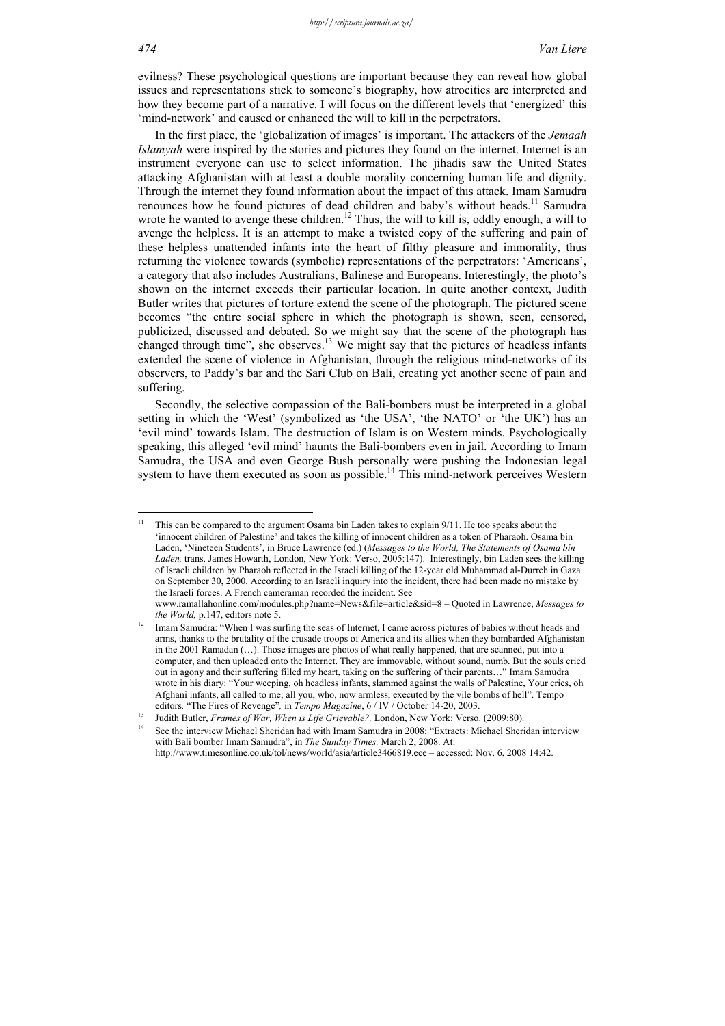evilness? These psychological questions are important because they can reveal how global issues and representations stick to someone's biography, how atrocities are interpreted and how they become part of a narrative. I will focus on the different levels that 'energized' this 'mind-network' and caused or enhanced the will to kill in the perpetrators.

In the first place, the 'globalization of images' is important. The attackers of the *Jemaah Islamyah* were inspired by the stories and pictures they found on the internet. Internet is an instrument everyone can use to select information. The jihadis saw the United States attacking Afghanistan with at least a double morality concerning human life and dignity. Through the internet they found information about the impact of this attack. Imam Samudra renounces how he found pictures of dead children and baby's without heads.<sup>11</sup> Samudra wrote he wanted to avenge these children.<sup>12</sup> Thus, the will to kill is, oddly enough, a will to avenge the helpless. It is an attempt to make a twisted copy of the suffering and pain of these helpless unattended infants into the heart of filthy pleasure and immorality, thus returning the violence towards (symbolic) representations of the perpetrators: 'Americans', a category that also includes Australians, Balinese and Europeans. Interestingly, the photo's shown on the internet exceeds their particular location. In quite another context, Judith Butler writes that pictures of torture extend the scene of the photograph. The pictured scene becomes "the entire social sphere in which the photograph is shown, seen, censored, publicized, discussed and debated. So we might say that the scene of the photograph has changed through time", she observes.<sup>13</sup> We might say that the pictures of headless infants extended the scene of violence in Afghanistan, through the religious mind-networks of its observers, to Paddy's bar and the Sari Club on Bali, creating yet another scene of pain and suffering.

Secondly, the selective compassion of the Bali-bombers must be interpreted in a global setting in which the 'West' (symbolized as 'the USA', 'the NATO' or 'the UK') has an 'evil mind' towards Islam. The destruction of Islam is on Western minds. Psychologically speaking, this alleged 'evil mind' haunts the Bali-bombers even in jail. According to Imam Samudra, the USA and even George Bush personally were pushing the Indonesian legal system to have them executed as soon as possible.<sup>14</sup> This mind-network perceives Western

 $\overline{11}$ 11 This can be compared to the argument Osama bin Laden takes to explain 9/11. He too speaks about the 'innocent children of Palestine' and takes the killing of innocent children as a token of Pharaoh. Osama bin Laden, 'Nineteen Students', in Bruce Lawrence (ed.) (*Messages to the World, The Statements of Osama bin Laden,* trans. James Howarth, London, New York: Verso, 2005:147). Interestingly, bin Laden sees the killing of Israeli children by Pharaoh reflected in the Israeli killing of the 12-year old Muhammad al-Durreh in Gaza on September 30, 2000. According to an Israeli inquiry into the incident, there had been made no mistake by the Israeli forces. A French cameraman recorded the incident. See www.ramallahonline.com/modules.php?name=News&file=article&sid=8 – Quoted in Lawrence, *Messages to* 

*the World, p.147, editors note 5.* 12 Imam Samudra: "When I was surfing the seas of Internet, I came across pictures of babies without heads and arms, thanks to the brutality of the crusade troops of America and its allies when they bombarded Afghanistan in the 2001 Ramadan (…). Those images are photos of what really happened, that are scanned, put into a computer, and then uploaded onto the Internet. They are immovable, without sound, numb. But the souls cried out in agony and their suffering filled my heart, taking on the suffering of their parents…" Imam Samudra

wrote in his diary: "Your weeping, oh headless infants, slammed against the walls of Palestine, Your cries, oh Afghani infants, all called to me; all you, who, now armless, executed by the vile bombs of hell". Tempo editors, "The Fires of Revenge", in *Tempo Magazine*, 6 / IV / October 14-20, 2003.<br>Judith Butler, *Frames of War, When is Life Grievable?*, London, New York: Verso. (2009:80).<br>See the interview Michael Sheridan had with I

with Bali bomber Imam Samudra", in *The Sunday Times,* March 2, 2008. At:

http://www.timesonline.co.uk/tol/news/world/asia/article3466819.ece – accessed: Nov. 6, 2008 14:42.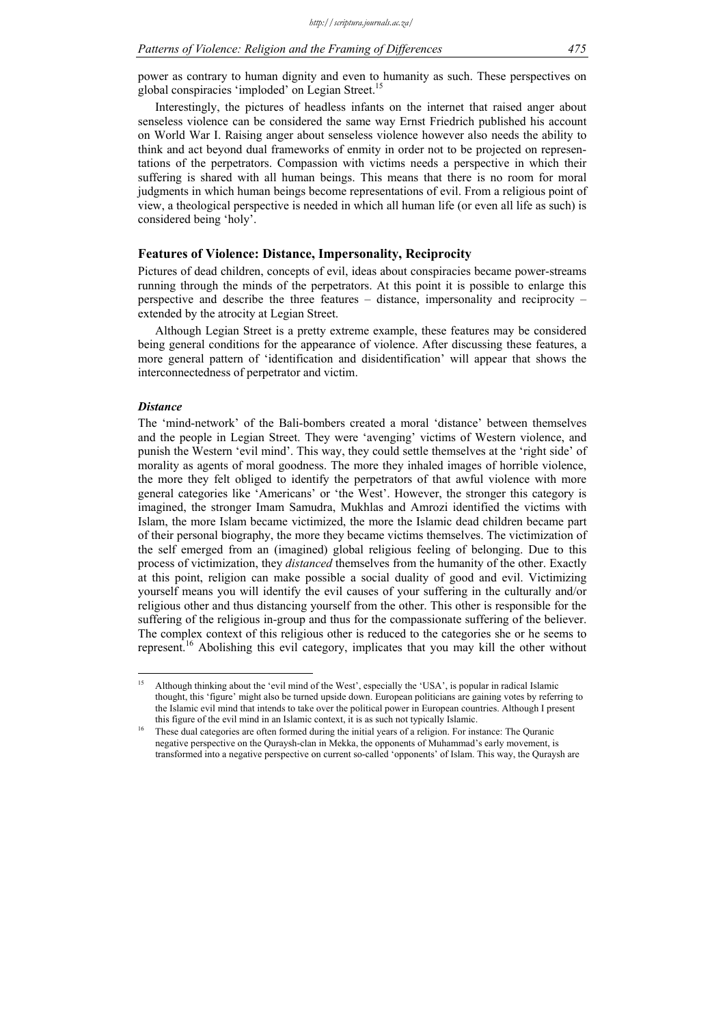power as contrary to human dignity and even to humanity as such. These perspectives on global conspiracies 'imploded' on Legian Street.<sup>15</sup>

Interestingly, the pictures of headless infants on the internet that raised anger about senseless violence can be considered the same way Ernst Friedrich published his account on World War I. Raising anger about senseless violence however also needs the ability to think and act beyond dual frameworks of enmity in order not to be projected on representations of the perpetrators. Compassion with victims needs a perspective in which their suffering is shared with all human beings. This means that there is no room for moral judgments in which human beings become representations of evil. From a religious point of view, a theological perspective is needed in which all human life (or even all life as such) is considered being 'holy'.

#### **Features of Violence: Distance, Impersonality, Reciprocity**

Pictures of dead children, concepts of evil, ideas about conspiracies became power-streams running through the minds of the perpetrators. At this point it is possible to enlarge this perspective and describe the three features – distance, impersonality and reciprocity – extended by the atrocity at Legian Street.

Although Legian Street is a pretty extreme example, these features may be considered being general conditions for the appearance of violence. After discussing these features, a more general pattern of 'identification and disidentification' will appear that shows the interconnectedness of perpetrator and victim.

## *Distance*

<u>.</u>

The 'mind-network' of the Bali-bombers created a moral 'distance' between themselves and the people in Legian Street. They were 'avenging' victims of Western violence, and punish the Western 'evil mind'. This way, they could settle themselves at the 'right side' of morality as agents of moral goodness. The more they inhaled images of horrible violence, the more they felt obliged to identify the perpetrators of that awful violence with more general categories like 'Americans' or 'the West'. However, the stronger this category is imagined, the stronger Imam Samudra, Mukhlas and Amrozi identified the victims with Islam, the more Islam became victimized, the more the Islamic dead children became part of their personal biography, the more they became victims themselves. The victimization of the self emerged from an (imagined) global religious feeling of belonging. Due to this process of victimization, they *distanced* themselves from the humanity of the other. Exactly at this point, religion can make possible a social duality of good and evil. Victimizing yourself means you will identify the evil causes of your suffering in the culturally and/or religious other and thus distancing yourself from the other. This other is responsible for the suffering of the religious in-group and thus for the compassionate suffering of the believer. The complex context of this religious other is reduced to the categories she or he seems to represent.<sup>16</sup> Abolishing this evil category, implicates that you may kill the other without

Although thinking about the 'evil mind of the West', especially the 'USA', is popular in radical Islamic thought, this 'figure' might also be turned upside down. European politicians are gaining votes by referring to the Islamic evil mind that intends to take over the political power in European countries. Although I present

this figure of the evil mind in an Islamic context, it is as such not typically Islamic.<br>These dual categories are often formed during the initial years of a religion. For instance: The Quranic negative perspective on the Quraysh-clan in Mekka, the opponents of Muhammad's early movement, is transformed into a negative perspective on current so-called 'opponents' of Islam. This way, the Quraysh are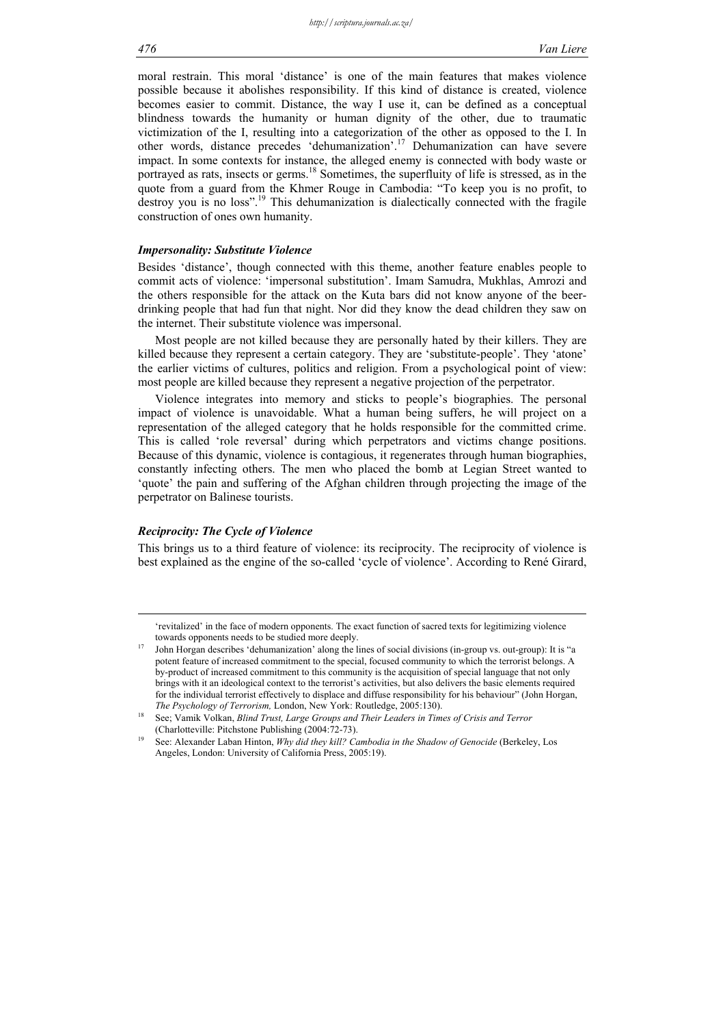moral restrain. This moral 'distance' is one of the main features that makes violence possible because it abolishes responsibility. If this kind of distance is created, violence becomes easier to commit. Distance, the way I use it, can be defined as a conceptual blindness towards the humanity or human dignity of the other, due to traumatic victimization of the I, resulting into a categorization of the other as opposed to the I. In other words, distance precedes 'dehumanization'.17 Dehumanization can have severe impact. In some contexts for instance, the alleged enemy is connected with body waste or portrayed as rats, insects or germs.<sup>18</sup> Sometimes, the superfluity of life is stressed, as in the quote from a guard from the Khmer Rouge in Cambodia: "To keep you is no profit, to destroy you is no loss".<sup>19</sup> This dehumanization is dialectically connected with the fragile construction of ones own humanity.

#### *Impersonality: Substitute Violence*

Besides 'distance', though connected with this theme, another feature enables people to commit acts of violence: 'impersonal substitution'. Imam Samudra, Mukhlas, Amrozi and the others responsible for the attack on the Kuta bars did not know anyone of the beerdrinking people that had fun that night. Nor did they know the dead children they saw on the internet. Their substitute violence was impersonal.

Most people are not killed because they are personally hated by their killers. They are killed because they represent a certain category. They are 'substitute-people'. They 'atone' the earlier victims of cultures, politics and religion. From a psychological point of view: most people are killed because they represent a negative projection of the perpetrator.

Violence integrates into memory and sticks to people's biographies. The personal impact of violence is unavoidable. What a human being suffers, he will project on a representation of the alleged category that he holds responsible for the committed crime. This is called 'role reversal' during which perpetrators and victims change positions. Because of this dynamic, violence is contagious, it regenerates through human biographies, constantly infecting others. The men who placed the bomb at Legian Street wanted to 'quote' the pain and suffering of the Afghan children through projecting the image of the perpetrator on Balinese tourists.

## *Reciprocity: The Cycle of Violence*

This brings us to a third feature of violence: its reciprocity. The reciprocity of violence is best explained as the engine of the so-called 'cycle of violence'. According to René Girard,

 <sup>&#</sup>x27;revitalized' in the face of modern opponents. The exact function of sacred texts for legitimizing violence

towards opponents needs to be studied more deeply.<br>17 John Horgan describes 'dehumanization' along the lines of social divisions (in-group vs. out-group): It is potent feature of increased commitment to the special, focused community to which the terrorist belongs. A by-product of increased commitment to this community is the acquisition of special language that not only brings with it an ideological context to the terrorist's activities, but also delivers the basic elements required for the individual terrorist effectively to displace and diffuse responsibility for his behaviour" (John Horgan,

*The Psychology of Terrorism, London, New York: Routledge, 2005:130).*<br>18 See: Vamik Volkan, *Blind Trust, Large Groups and Their Leaders in Times of Crisis and Terror* (Charlotteville: Pitchstone Publishing (2004:72-73).<br>See: Alexander Laban Hinton, *Why did they kill? Cambodia in the Shadow of Genocide* (Berkeley, Los

Angeles, London: University of California Press, 2005:19).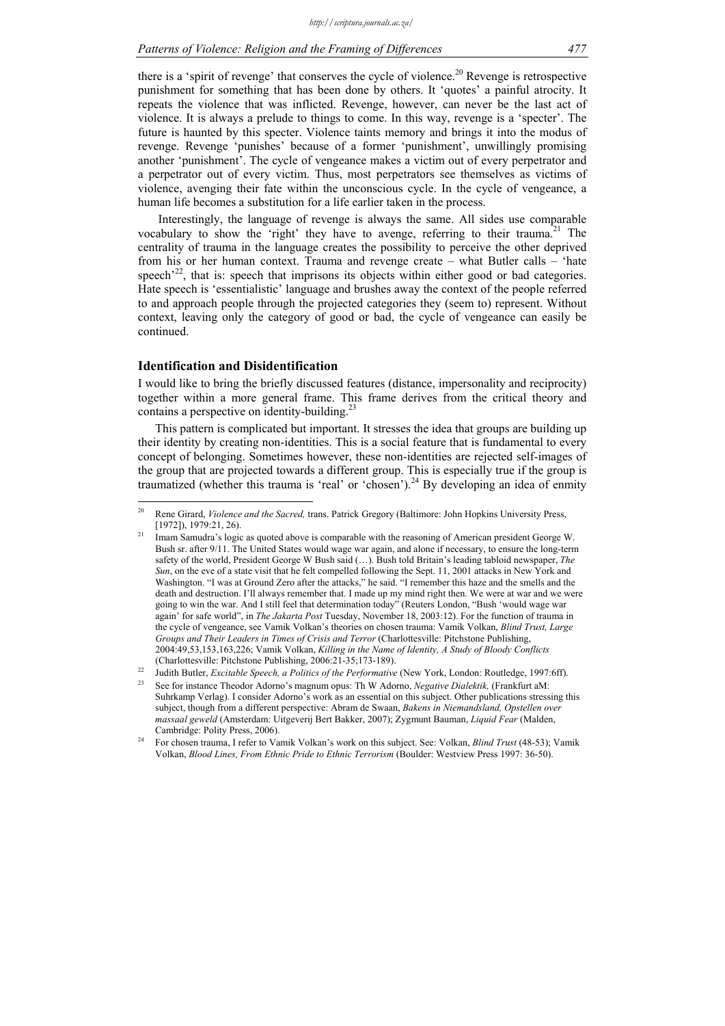there is a 'spirit of revenge' that conserves the cycle of violence.<sup>20</sup> Revenge is retrospective punishment for something that has been done by others. It 'quotes' a painful atrocity. It repeats the violence that was inflicted. Revenge, however, can never be the last act of violence. It is always a prelude to things to come. In this way, revenge is a 'specter'. The future is haunted by this specter. Violence taints memory and brings it into the modus of revenge. Revenge 'punishes' because of a former 'punishment', unwillingly promising another 'punishment'. The cycle of vengeance makes a victim out of every perpetrator and a perpetrator out of every victim. Thus, most perpetrators see themselves as victims of violence, avenging their fate within the unconscious cycle. In the cycle of vengeance, a human life becomes a substitution for a life earlier taken in the process.

 Interestingly, the language of revenge is always the same. All sides use comparable vocabulary to show the 'right' they have to avenge, referring to their trauma.<sup>21</sup> The centrality of trauma in the language creates the possibility to perceive the other deprived from his or her human context. Trauma and revenge create – what Butler calls – 'hate speech<sup> $22$ </sup>, that is: speech that imprisons its objects within either good or bad categories. Hate speech is 'essentialistic' language and brushes away the context of the people referred to and approach people through the projected categories they (seem to) represent. Without context, leaving only the category of good or bad, the cycle of vengeance can easily be continued.

# **Identification and Disidentification**

1

I would like to bring the briefly discussed features (distance, impersonality and reciprocity) together within a more general frame. This frame derives from the critical theory and contains a perspective on identity-building.<sup>23</sup>

This pattern is complicated but important. It stresses the idea that groups are building up their identity by creating non-identities. This is a social feature that is fundamental to every concept of belonging. Sometimes however, these non-identities are rejected self-images of the group that are projected towards a different group. This is especially true if the group is traumatized (whether this trauma is 'real' or 'chosen').<sup>24</sup> By developing an idea of enmity

<sup>20</sup> Rene Girard, *Violence and the Sacred,* trans. Patrick Gregory (Baltimore: John Hopkins University Press, [1972]), 1979:21, 26).<br><sup>21</sup> Imam Samudra's logic as quoted above is comparable with the reasoning of American president George W.

Bush sr. after 9/11. The United States would wage war again, and alone if necessary, to ensure the long-term safety of the world, President George W Bush said (…). Bush told Britain's leading tabloid newspaper, *The Sun*, on the eve of a state visit that he felt compelled following the Sept. 11, 2001 attacks in New York and Washington. "I was at Ground Zero after the attacks," he said. "I remember this haze and the smells and the death and destruction. I'll always remember that. I made up my mind right then. We were at war and we were going to win the war. And I still feel that determination today" (Reuters London, "Bush 'would wage war again' for safe world", in *The Jakarta Post* Tuesday, November 18, 2003:12). For the function of trauma in the cycle of vengeance, see Vamik Volkan's theories on chosen trauma: Vamik Volkan, *Blind Trust, Large Groups and Their Leaders in Times of Crisis and Terror* (Charlottesville: Pitchstone Publishing, 2004:49,53,153,163,226; Vamik Volkan, *Killing in the Name of Identity, A Study of Bloody Conflicts* 

<sup>(</sup>Charlottesville: Pitchstone Publishing, 2006:21-35;173-189).<br>
Judith Butler, *Excitable Speech, a Politics of the Performative* (New York, London: Routledge, 1997:6ff).<br>
See for instance Theodor Adorno's magnum opus: Th W Suhrkamp Verlag). I consider Adorno's work as an essential on this subject. Other publications stressing this subject, though from a different perspective: Abram de Swaan, *Bakens in Niemandsland, Opstellen over massaal geweld* (Amsterdam: Uitgeverij Bert Bakker, 2007); Zygmunt Bauman, *Liquid Fear* (Malden, Cambridge: Polity Press, 2006). 24 For chosen trauma, I refer to Vamik Volkan's work on this subject. See: Volkan, *Blind Trust* (48-53); Vamik

Volkan, *Blood Lines, From Ethnic Pride to Ethnic Terrorism* (Boulder: Westview Press 1997: 36-50).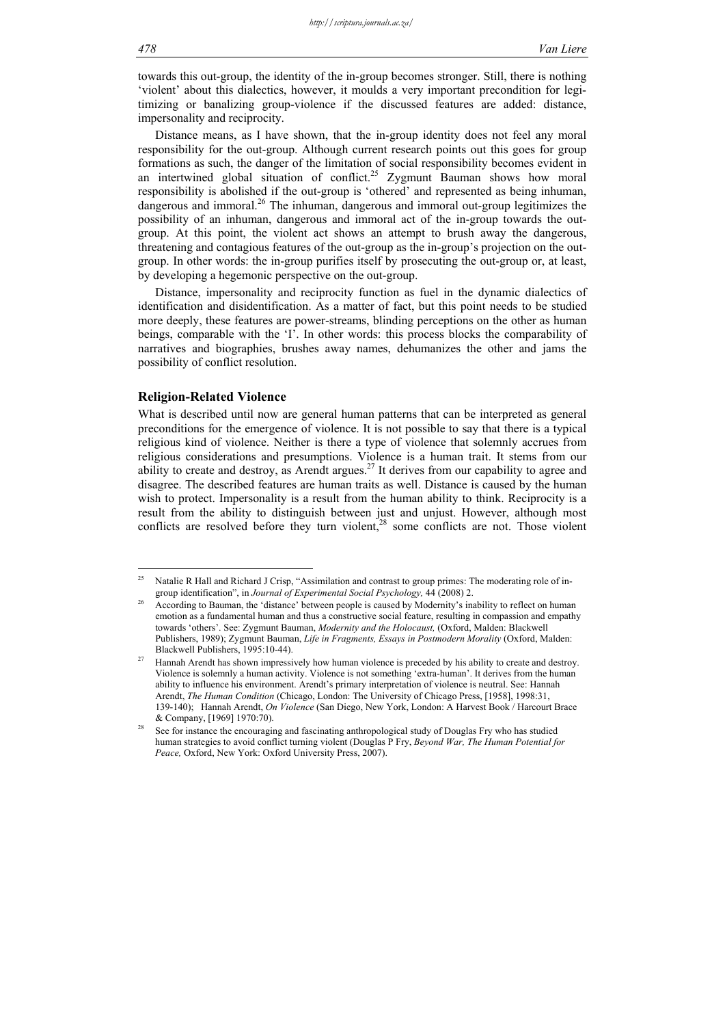towards this out-group, the identity of the in-group becomes stronger. Still, there is nothing 'violent' about this dialectics, however, it moulds a very important precondition for legitimizing or banalizing group-violence if the discussed features are added: distance, impersonality and reciprocity.

Distance means, as I have shown, that the in-group identity does not feel any moral responsibility for the out-group. Although current research points out this goes for group formations as such, the danger of the limitation of social responsibility becomes evident in an intertwined global situation of conflict.<sup>25</sup> Zygmunt Bauman shows how moral responsibility is abolished if the out-group is 'othered' and represented as being inhuman, dangerous and immoral.<sup>26</sup> The inhuman, dangerous and immoral out-group legitimizes the possibility of an inhuman, dangerous and immoral act of the in-group towards the outgroup. At this point, the violent act shows an attempt to brush away the dangerous, threatening and contagious features of the out-group as the in-group's projection on the outgroup. In other words: the in-group purifies itself by prosecuting the out-group or, at least, by developing a hegemonic perspective on the out-group.

Distance, impersonality and reciprocity function as fuel in the dynamic dialectics of identification and disidentification. As a matter of fact, but this point needs to be studied more deeply, these features are power-streams, blinding perceptions on the other as human beings, comparable with the 'I'. In other words: this process blocks the comparability of narratives and biographies, brushes away names, dehumanizes the other and jams the possibility of conflict resolution.

# **Religion-Related Violence**

What is described until now are general human patterns that can be interpreted as general preconditions for the emergence of violence. It is not possible to say that there is a typical religious kind of violence. Neither is there a type of violence that solemnly accrues from religious considerations and presumptions. Violence is a human trait. It stems from our ability to create and destroy, as Arendt argues.<sup>27</sup> It derives from our capability to agree and disagree. The described features are human traits as well. Distance is caused by the human wish to protect. Impersonality is a result from the human ability to think. Reciprocity is a result from the ability to distinguish between just and unjust. However, although most conflicts are resolved before they turn violent, $28$  some conflicts are not. Those violent

 $\overline{25}$ Natalie R Hall and Richard J Crisp, "Assimilation and contrast to group primes: The moderating role of in-

group identification", in *Journal of Experimental Social Psychology*, <sup>44</sup> (2008) 2.<br>According to Bauman, the 'distance' between people is caused by Modernity's inability to reflect on human emotion as a fundamental human and thus a constructive social feature, resulting in compassion and empathy towards 'others'. See: Zygmunt Bauman, *Modernity and the Holocaust,* (Oxford, Malden: Blackwell Publishers, 1989); Zygmunt Bauman, *Life in Fragments, Essays in Postmodern Morality* (Oxford, Malden: Blackwell Publishers, 1995:10-44).<br><sup>27</sup> Hannah Arendt has shown impressively how human violence is preceded by his ability to create and destroy.

Violence is solemnly a human activity. Violence is not something 'extra-human'. It derives from the human ability to influence his environment. Arendt's primary interpretation of violence is neutral. See: Hannah Arendt, *The Human Condition* (Chicago, London: The University of Chicago Press, [1958], 1998:31, 139-140);Hannah Arendt, *On Violence* (San Diego, New York, London: A Harvest Book / Harcourt Brace

<sup>&</sup>amp; Company, [1969] 1970:70).<br><sup>28</sup> See for instance the encouraging and fascinating anthropological study of Douglas Fry who has studied human strategies to avoid conflict turning violent (Douglas P Fry, *Beyond War, The Human Potential for Peace,* Oxford, New York: Oxford University Press, 2007).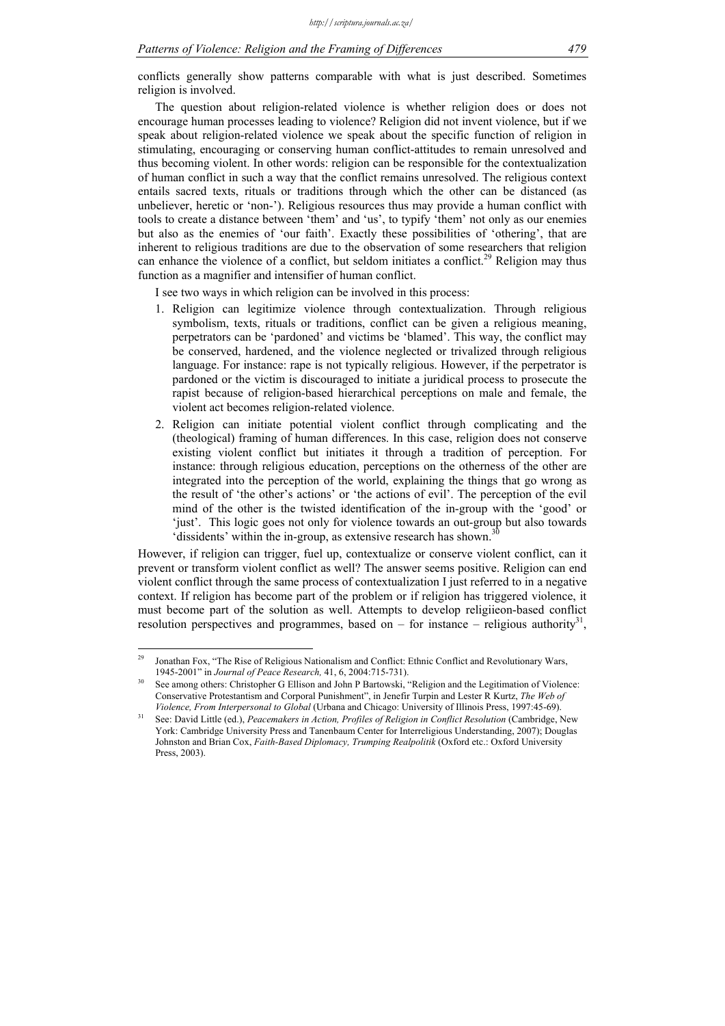conflicts generally show patterns comparable with what is just described. Sometimes religion is involved.

The question about religion-related violence is whether religion does or does not encourage human processes leading to violence? Religion did not invent violence, but if we speak about religion-related violence we speak about the specific function of religion in stimulating, encouraging or conserving human conflict-attitudes to remain unresolved and thus becoming violent. In other words: religion can be responsible for the contextualization of human conflict in such a way that the conflict remains unresolved. The religious context entails sacred texts, rituals or traditions through which the other can be distanced (as unbeliever, heretic or 'non-'). Religious resources thus may provide a human conflict with tools to create a distance between 'them' and 'us', to typify 'them' not only as our enemies but also as the enemies of 'our faith'. Exactly these possibilities of 'othering', that are inherent to religious traditions are due to the observation of some researchers that religion can enhance the violence of a conflict, but seldom initiates a conflict.<sup>29</sup> Religion may thus function as a magnifier and intensifier of human conflict.

I see two ways in which religion can be involved in this process:

- 1. Religion can legitimize violence through contextualization. Through religious symbolism, texts, rituals or traditions, conflict can be given a religious meaning, perpetrators can be 'pardoned' and victims be 'blamed'. This way, the conflict may be conserved, hardened, and the violence neglected or trivalized through religious language. For instance: rape is not typically religious. However, if the perpetrator is pardoned or the victim is discouraged to initiate a juridical process to prosecute the rapist because of religion-based hierarchical perceptions on male and female, the violent act becomes religion-related violence.
- 2. Religion can initiate potential violent conflict through complicating and the (theological) framing of human differences. In this case, religion does not conserve existing violent conflict but initiates it through a tradition of perception. For instance: through religious education, perceptions on the otherness of the other are integrated into the perception of the world, explaining the things that go wrong as the result of 'the other's actions' or 'the actions of evil'. The perception of the evil mind of the other is the twisted identification of the in-group with the 'good' or 'just'. This logic goes not only for violence towards an out-group but also towards 'dissidents' within the in-group, as extensive research has shown.<sup>3</sup>

However, if religion can trigger, fuel up, contextualize or conserve violent conflict, can it prevent or transform violent conflict as well? The answer seems positive. Religion can end violent conflict through the same process of contextualization I just referred to in a negative context. If religion has become part of the problem or if religion has triggered violence, it must become part of the solution as well. Attempts to develop religiieon-based conflict resolution perspectives and programmes, based on – for instance – religious authority<sup>31</sup>,

 $29$ 29 Jonathan Fox, "The Rise of Religious Nationalism and Conflict: Ethnic Conflict and Revolutionary Wars,

<sup>1945-2001&</sup>quot; in *Journal of Peace Research*, 41, 6, 2004:715-731).<br>See among others: Christopher G Ellison and John P Bartowski, "Religion and the Legitimation of Violence: Conservative Protestantism and Corporal Punishment", in Jenefir Turpin and Lester R Kurtz, *The Web of* 

Violence, From Interpersonal to Global (Urbana and Chicago: University of Illinois Press, 1997:45-69).<br>See: David Little (ed.), Peacemakers in Action, Profiles of Religion in Conflict Resolution (Cambridge, New York: Cambridge University Press and Tanenbaum Center for Interreligious Understanding, 2007); Douglas Johnston and Brian Cox, *Faith-Based Diplomacy, Trumping Realpolitik* (Oxford etc.: Oxford University Press, 2003).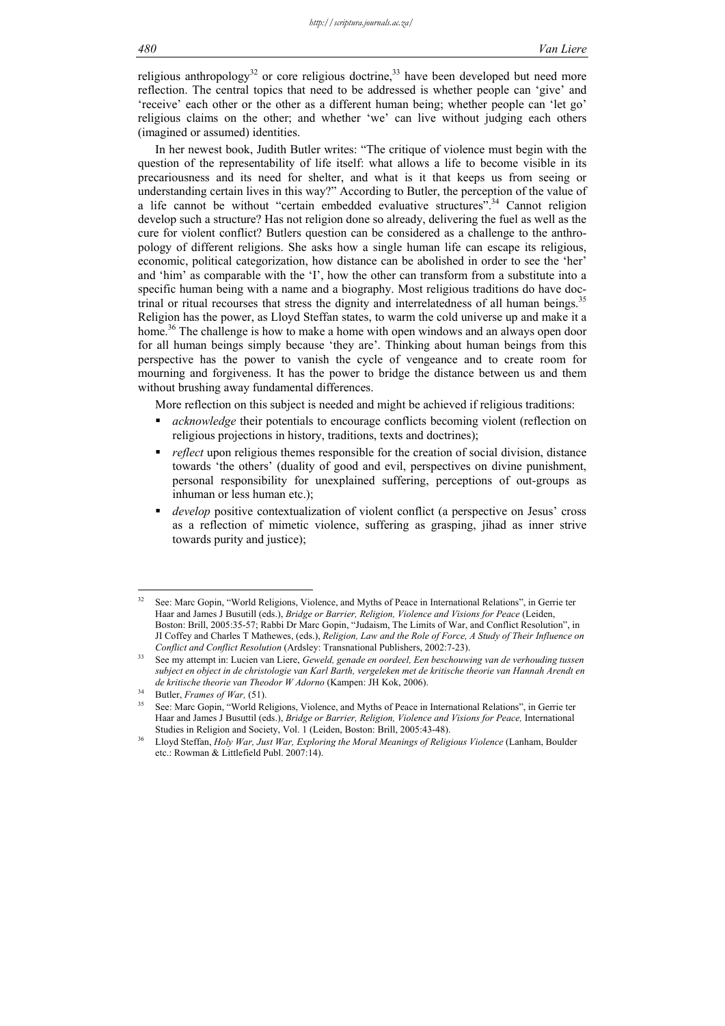religious anthropology<sup>32</sup> or core religious doctrine,<sup>33</sup> have been developed but need more reflection. The central topics that need to be addressed is whether people can 'give' and 'receive' each other or the other as a different human being; whether people can 'let go' religious claims on the other; and whether 'we' can live without judging each others (imagined or assumed) identities.

In her newest book, Judith Butler writes: "The critique of violence must begin with the question of the representability of life itself: what allows a life to become visible in its precariousness and its need for shelter, and what is it that keeps us from seeing or understanding certain lives in this way?" According to Butler, the perception of the value of a life cannot be without "certain embedded evaluative structures".<sup>34</sup> Cannot religion develop such a structure? Has not religion done so already, delivering the fuel as well as the cure for violent conflict? Butlers question can be considered as a challenge to the anthropology of different religions. She asks how a single human life can escape its religious, economic, political categorization, how distance can be abolished in order to see the 'her' and 'him' as comparable with the 'I', how the other can transform from a substitute into a specific human being with a name and a biography. Most religious traditions do have doctrinal or ritual recourses that stress the dignity and interrelatedness of all human beings.<sup>35</sup> Religion has the power, as Lloyd Steffan states, to warm the cold universe up and make it a home.<sup>36</sup> The challenge is how to make a home with open windows and an always open door for all human beings simply because 'they are'. Thinking about human beings from this perspective has the power to vanish the cycle of vengeance and to create room for mourning and forgiveness. It has the power to bridge the distance between us and them without brushing away fundamental differences.

More reflection on this subject is needed and might be achieved if religious traditions:

- *acknowledge* their potentials to encourage conflicts becoming violent (reflection on religious projections in history, traditions, texts and doctrines);
- *reflect* upon religious themes responsible for the creation of social division, distance towards 'the others' (duality of good and evil, perspectives on divine punishment, personal responsibility for unexplained suffering, perceptions of out-groups as inhuman or less human etc.);
- *develop* positive contextualization of violent conflict (a perspective on Jesus' cross as a reflection of mimetic violence, suffering as grasping, jihad as inner strive towards purity and justice);

1

<sup>32</sup> See: Marc Gopin, "World Religions, Violence, and Myths of Peace in International Relations", in Gerrie ter Haar and James J Busutill (eds.), *Bridge or Barrier, Religion, Violence and Visions for Peace* (Leiden, Boston: Brill, 2005:35-57; Rabbi Dr Marc Gopin, "Judaism, The Limits of War, and Conflict Resolution", in JI Coffey and Charles T Mathewes, (eds.), *Religion, Law and the Role of Force, A Study of Their Influence on* 

*Conflict and Conflict Resolution* (Ardsley: Transnational Publishers, 2002:7-23). 33 See my attempt in: Lucien van Liere, *Geweld, genade en oordeel, Een beschouwing van de verhouding tussen subject en object in de christologie van Karl Barth, vergeleken met de kritische theorie van Hannah Arendt en* 

*Butler, Frames of War,* (51). <br>See: Marc Gopin, "World Religions, Violence, and Myths of Peace in International Relations", in Gerrie ter Haar and James J Busuttil (eds.), *Bridge or Barrier, Religion, Violence and Visions for Peace*, International Studies in Religion and Society, Vol. 1 (Leiden, Boston: Brill, 2005:43-48).

Studies in Religion and Society, Vol. 1 (Leiden, Boston: Brill, 2005:43-48). 36 Lloyd Steffan, *Holy War, Just War, Exploring the Moral Meanings of Religious Violence* (Lanham, Boulder etc.: Rowman & Littlefield Publ. 2007:14).